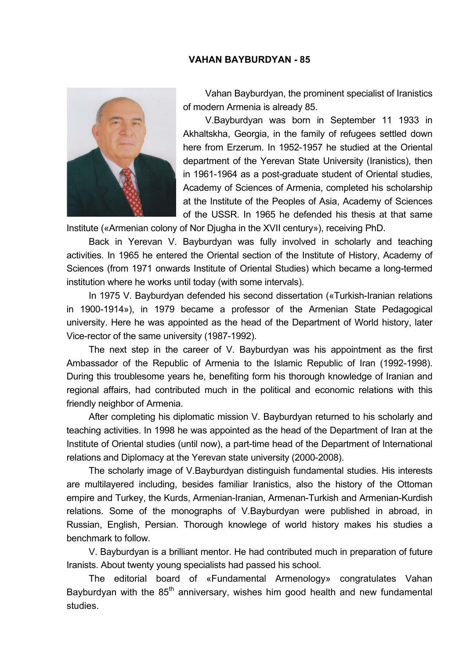## **VAHAN BAYBURDYAN - 85**



Vahan Bayburdyan, the prominent specialist of Iranistics of modern Armenia is already 85.

V.Bayburdyan was born in September 11 1933 in Akhaltskha, Georgia, in the family of refugees settled down here from Erzerum. In 1952-1957 he studied at the Oriental department of the Yerevan State University (Iranistics), then in 1961-1964 as a post-graduate student of Oriental studies, Academy of Sciences of Armenia, completed his scholarship at the Institute of the Peoples of Asia, Academy of Sciences of the USSR. In 1965 he defended his thesis at that same

Institute («Armenian colony of Nor Djugha in the XVII century»), receiving PhD.

Back in Yerevan V. Bayburdyan was fully involved in scholarly and teaching activities. In 1965 he entered the Oriental section of the Institute of History, Academy of Sciences (from 1971 onwards Institute of Oriental Studies) which became a long-termed institution where he works until today (with some intervals).

In 1975 V. Bayburdyan defended his second dissertation («Turkish-Iranian relations in 1900-1914»), in 1979 became a professor of the Armenian State Pedagogical university. Here he was appointed as the head of the Department of World history, later Vice-rector of the same university (1987-1992).

The next step in the career of V. Bayburdyan was his appointment as the first Ambassador of the Republic of Armenia to the Islamic Republic of Iran (1992-1998). During this troublesome years he, benefiting form his thorough knowledge of Iranian and regional affairs, had contributed much in the political and economic relations with this friendly neighbor of Armenia.

After completing his diplomatic mission V. Bayburdyan returned to his scholarly and teaching activities. In 1998 he was appointed as the head of the Department of Iran at the Institute of Oriental studies (until now), a part-time head of the Department of International relations and Diplomacy at the Yerevan state university (2000-2008).

The scholarly image of V.Bayburdyan distinguish fundamental studies. His interests are multilayered including, besides familiar Iranistics, also the history of the Ottoman empire and Turkey, the Kurds, Armenian-Iranian, Armenan-Turkish and Armenian-Kurdish relations. Some of the monographs of V.Bayburdyan were published in abroad, in Russian, English, Persian. Thorough knowlege of world history makes his studies a benchmark to follow.

V. Bayburdyan is a brilliant mentor. He had contributed much in preparation of future Iranists. About twenty young specialists had passed his school.

The editorial board of «Fundamental Armenology» congratulates Vahan Bayburdyan with the  $85<sup>th</sup>$  anniversary, wishes him good health and new fundamental studies.